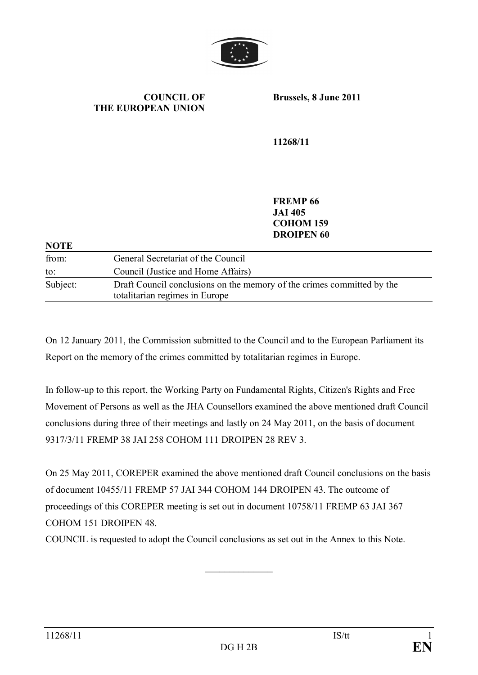

**COUNCIL OF THE EUROPEAN UNION** **Brussels, 8 June 2011**

**11268/11**

**FREMP 66 JAI 405 COHOM 159 DROIPEN 60**

| NOTE     |                                                                                                          |
|----------|----------------------------------------------------------------------------------------------------------|
| from:    | General Secretariat of the Council                                                                       |
| to:      | Council (Justice and Home Affairs)                                                                       |
| Subject: | Draft Council conclusions on the memory of the crimes committed by the<br>totalitarian regimes in Europe |
|          |                                                                                                          |

On 12 January 2011, the Commission submitted to the Council and to the European Parliament its Report on the memory of the crimes committed by totalitarian regimes in Europe.

In follow-up to this report, the Working Party on Fundamental Rights, Citizen's Rights and Free Movement of Persons as well as the JHA Counsellors examined the above mentioned draft Council conclusions during three of their meetings and lastly on 24 May 2011, on the basis of document 9317/3/11 FREMP 38 JAI 258 COHOM 111 DROIPEN 28 REV 3.

On 25 May 2011, COREPER examined the above mentioned draft Council conclusions on the basis of document 10455/11 FREMP 57 JAI 344 COHOM 144 DROIPEN 43. The outcome of proceedings of this COREPER meeting is set out in document 10758/11 FREMP 63 JAI 367 COHOM 151 DROIPEN 48.

 $\frac{1}{2}$  ,  $\frac{1}{2}$  ,  $\frac{1}{2}$  ,  $\frac{1}{2}$  ,  $\frac{1}{2}$  ,  $\frac{1}{2}$  ,  $\frac{1}{2}$ 

COUNCIL is requested to adopt the Council conclusions as set out in the Annex to this Note.

**NOTE**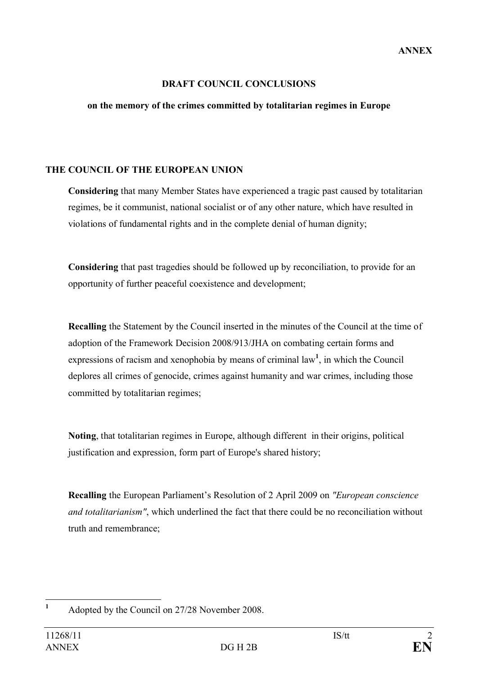## **DRAFT COUNCIL CONCLUSIONS**

## **on the memory of the crimes committed by totalitarian regimes in Europe**

## **THE COUNCIL OF THE EUROPEAN UNION**

**Considering** that many Member States have experienced a tragic past caused by totalitarian regimes, be it communist, national socialist or of any other nature, which have resulted in violations of fundamental rights and in the complete denial of human dignity;

**Considering** that past tragedies should be followed up by reconciliation, to provide for an opportunity of further peaceful coexistence and development;

**Recalling** the Statement by the Council inserted in the minutes of the Council at the time of adoption of the Framework Decision 2008/913/JHA on combating certain forms and expressions of racism and xenophobia by means of criminal law<sup>1</sup>, in which the Council deplores all crimes of genocide, crimes against humanity and war crimes, including those committed by totalitarian regimes;

**Noting**, that totalitarian regimes in Europe, although different in their origins, political justification and expression, form part of Europe's shared history;

**Recalling** the European Parliament's Resolution of 2 April 2009 on *"European conscience and totalitarianism"*, which underlined the fact that there could be no reconciliation without truth and remembrance;

<sup>&</sup>lt;sup>1</sup> Adopted by the Council on 27/28 November 2008.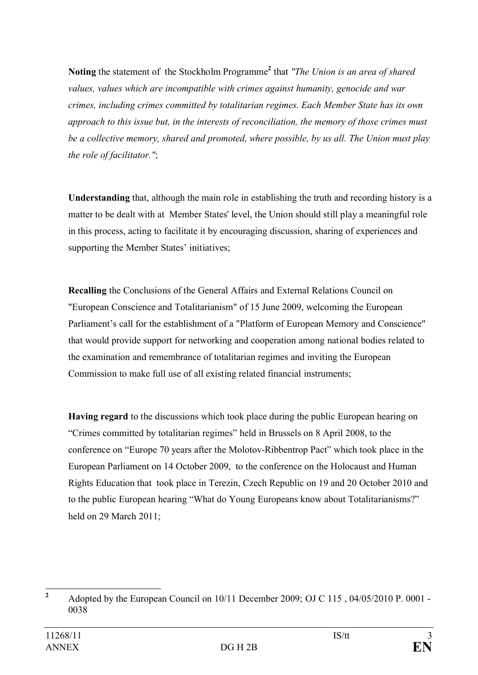**Noting** the statement of the Stockholm Programme**<sup>2</sup>** that *"The Union is an area of shared values, values which are incompatible with crimes against humanity, genocide and war crimes, including crimes committed by totalitarian regimes. Each Member State has its own approach to this issue but, in the interests of reconciliation, the memory of those crimes must be a collective memory, shared and promoted, where possible, by us all. The Union must play the role of facilitator."*;

**Understanding** that, although the main role in establishing the truth and recording history is a matter to be dealt with at Member States' level, the Union should still play a meaningful role in this process, acting to facilitate it by encouraging discussion, sharing of experiences and supporting the Member States' initiatives;

**Recalling** the Conclusions of the General Affairs and External Relations Council on "European Conscience and Totalitarianism" of 15 June 2009, welcoming the European Parliament's call for the establishment of a "Platform of European Memory and Conscience" that would provide support for networking and cooperation among national bodies related to the examination and remembrance of totalitarian regimes and inviting the European Commission to make full use of all existing related financial instruments;

**Having regard** to the discussions which took place during the public European hearing on "Crimes committed by totalitarian regimes" held in Brussels on 8 April 2008, to the conference on "Europe 70 years after the Molotov-Ribbentrop Pact" which took place in the European Parliament on 14 October 2009, to the conference on the Holocaust and Human Rights Education that took place in Terezin, Czech Republic on 19 and 20 October 2010 and to the public European hearing "What do Young Europeans know about Totalitarianisms?" held on 29 March 2011;

<sup>&</sup>lt;sup>2</sup> Adopted by the European Council on 10/11 December 2009; OJ C 115, 04/05/2010 P. 0001 -0038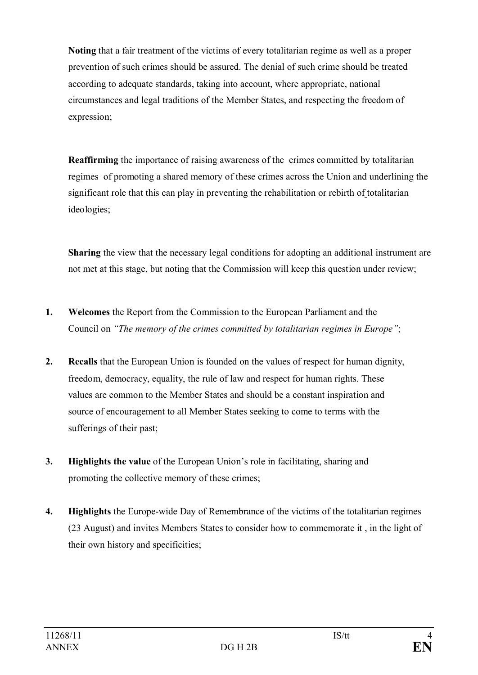**Noting** that a fair treatment of the victims of every totalitarian regime as well as a proper prevention of such crimes should be assured. The denial of such crime should be treated according to adequate standards, taking into account, where appropriate, national circumstances and legal traditions of the Member States, and respecting the freedom of expression;

**Reaffirming** the importance of raising awareness of the crimes committed by totalitarian regimes of promoting a shared memory of these crimes across the Union and underlining the significant role that this can play in preventing the rehabilitation or rebirth of totalitarian ideologies;

**Sharing** the view that the necessary legal conditions for adopting an additional instrument are not met at this stage, but noting that the Commission will keep this question under review;

- **1. Welcomes** the Report from the Commission to the European Parliament and the Council on *"The memory of the crimes committed by totalitarian regimes in Europe"*;
- **2. Recalls** that the European Union is founded on the values of respect for human dignity, freedom, democracy, equality, the rule of law and respect for human rights. These values are common to the Member States and should be a constant inspiration and source of encouragement to all Member States seeking to come to terms with the sufferings of their past;
- **3. Highlights the value** of the European Union's role in facilitating, sharing and promoting the collective memory of these crimes;
- **4. Highlights** the Europe-wide Day of Remembrance of the victims of the totalitarian regimes (23 August) and invites Members States to consider how to commemorate it , in the light of their own history and specificities;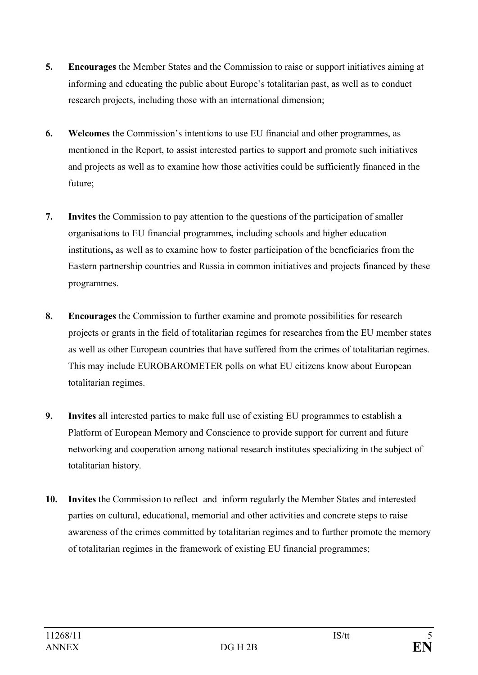- **5. Encourages** the Member States and the Commission to raise or support initiatives aiming at informing and educating the public about Europe's totalitarian past, as well as to conduct research projects, including those with an international dimension;
- **6. Welcomes** the Commission's intentions to use EU financial and other programmes, as mentioned in the Report, to assist interested parties to support and promote such initiatives and projects as well as to examine how those activities could be sufficiently financed in the future;
- **7. Invites** the Commission to pay attention to the questions of the participation of smaller organisations to EU financial programmes**,** including schools and higher education institutions**,** as well as to examine how to foster participation of the beneficiaries from the Eastern partnership countries and Russia in common initiatives and projects financed by these programmes.
- **8. Encourages** the Commission to further examine and promote possibilities for research projects or grants in the field of totalitarian regimes for researches from the EU member states as well as other European countries that have suffered from the crimes of totalitarian regimes. This may include EUROBAROMETER polls on what EU citizens know about European totalitarian regimes.
- **9. Invites** all interested parties to make full use of existing EU programmes to establish a Platform of European Memory and Conscience to provide support for current and future networking and cooperation among national research institutes specializing in the subject of totalitarian history.
- **10. Invites** the Commission to reflect and inform regularly the Member States and interested parties on cultural, educational, memorial and other activities and concrete steps to raise awareness of the crimes committed by totalitarian regimes and to further promote the memory of totalitarian regimes in the framework of existing EU financial programmes;